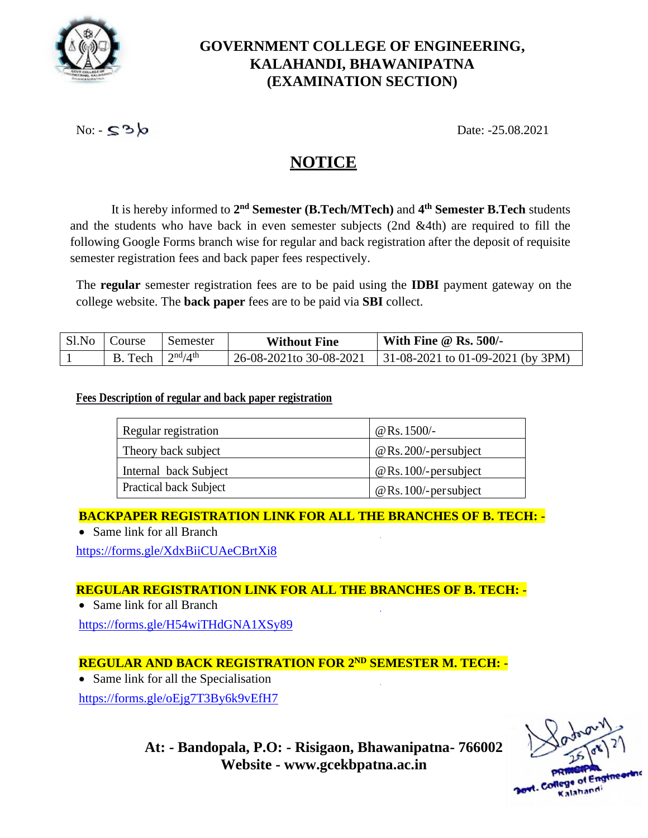

## **GOVERNMENT COLLEGE OF ENGINEERING, KALAHANDI, BHAWANIPATNA (EXAMINATION SECTION)**

 $\text{No: } \mathsf{S}^3$ 

# **NOTICE**

It is hereby informed to **2 nd Semester (B.Tech/MTech)** and **4 th Semester B.Tech** students and the students who have back in even semester subjects (2nd &4th) are required to fill the following Google Forms branch wise for regular and back registration after the deposit of requisite semester registration fees and back paper fees respectively.

The **regular** semester registration fees are to be paid using the **IDBI** payment gateway on the college website. The **back paper** fees are to be paid via **SBI** collect.

| Sl.No | Course | Semester        | <b>Without Fine</b>      | With Fine $@$ Rs. 500/-                   |
|-------|--------|-----------------|--------------------------|-------------------------------------------|
|       | Tech   | $2^{nd}/4^{th}$ | 26-08-2021 to 30-08-2021 | $\vert$ 31-08-2021 to 01-09-2021 (by 3PM) |

#### **Fees Description of regular and back paper registration**

| Regular registration          | @ Rs. $1500/-$          |
|-------------------------------|-------------------------|
| Theory back subject           | $@$ Rs. 200/-persubject |
| Internal back Subject         | $@$ Rs. 100/-persubject |
| <b>Practical back Subject</b> | $@$ Rs. 100/-persubject |

**BACKPAPER REGISTRATION LINK FOR ALL THE BRANCHES OF B. TECH: -**

• Same link for all Branch

<https://forms.gle/XdxBiiCUAeCBrtXi8>

### **REGULAR REGISTRATION LINK FOR ALL THE BRANCHES OF B. TECH: -**

• Same link for all Branch

<https://forms.gle/H54wiTHdGNA1XSy89>

## **REGULAR AND BACK REGISTRATION FOR 2ND SEMESTER M. TECH: -**

• Same link for all the Specialisation

https://forms.gle/oEjg7T3By6k9vEfH7

alahandi

**At: - Bandopala, P.O: - Risigaon, Bhawanipatna- 766002 Website - [www.gcekbpatna.ac.in](http://www.gcekbpatna.ac.in/)**